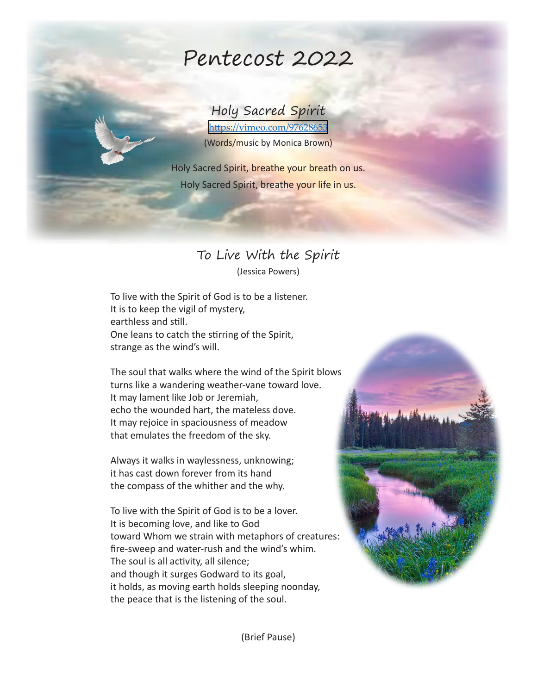# Pentecost 2022

#### Holy Sacred Spirit

<https://vimeo.com/97628653> (Words/music by Monica Brown)

Holy Sacred Spirit, breathe your breath on us. Holy Sacred Spirit, breathe your life in us.

## To Live With the Spirit

(Jessica Powers)

To live with the Spirit of God is to be a listener. It is to keep the vigil of mystery, earthless and still. One leans to catch the stirring of the Spirit, strange as the wind's will.

The soul that walks where the wind of the Spirit blows turns like a wandering weather-vane toward love. It may lament like Job or Jeremiah, echo the wounded hart, the mateless dove. It may rejoice in spaciousness of meadow that emulates the freedom of the sky.

Always it walks in waylessness, unknowing; it has cast down forever from its hand the compass of the whither and the why.

To live with the Spirit of God is to be a lover. It is becoming love, and like to God toward Whom we strain with metaphors of creatures: fire-sweep and water-rush and the wind's whim. The soul is all activity, all silence; and though it surges Godward to its goal, it holds, as moving earth holds sleeping noonday, the peace that is the listening of the soul.



(Brief Pause)